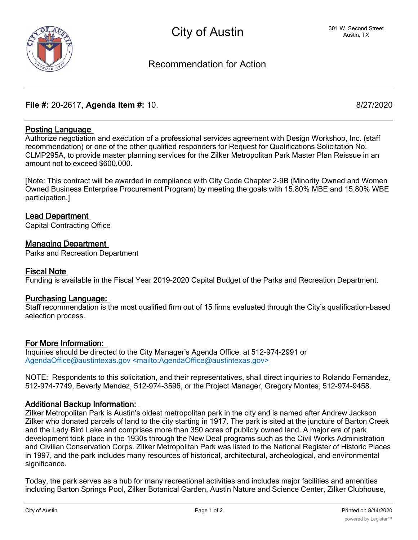

# Recommendation for Action

# **File #:** 20-2617, **Agenda Item #:** 10. 8/27/2020

# **Posting Language**

Authorize negotiation and execution of a professional services agreement with Design Workshop, Inc. (staff recommendation) or one of the other qualified responders for Request for Qualifications Solicitation No. CLMP295A, to provide master planning services for the Zilker Metropolitan Park Master Plan Reissue in an amount not to exceed \$600,000.

[Note: This contract will be awarded in compliance with City Code Chapter 2-9B (Minority Owned and Women Owned Business Enterprise Procurement Program) by meeting the goals with 15.80% MBE and 15.80% WBE participation.]

### **Lead Department**

Capital Contracting Office

### **Managing Department**

Parks and Recreation Department

#### **Fiscal Note**

Funding is available in the Fiscal Year 2019-2020 Capital Budget of the Parks and Recreation Department.

#### **Purchasing Language:**

Staff recommendation is the most qualified firm out of 15 firms evaluated through the City's qualification-based selection process.

#### **For More Information:**

Inquiries should be directed to the City Manager's Agenda Office, at 512-974-2991 or AgendaOffice@austintexas.gov <mailto:AgendaOffice@austintexas.gov>

NOTE: Respondents to this solicitation, and their representatives, shall direct inquiries to Rolando Fernandez, 512-974-7749, Beverly Mendez, 512-974-3596, or the Project Manager, Gregory Montes, 512-974-9458.

#### **Additional Backup Information:**

Zilker Metropolitan Park is Austin's oldest metropolitan park in the city and is named after Andrew Jackson Zilker who donated parcels of land to the city starting in 1917. The park is sited at the juncture of Barton Creek and the Lady Bird Lake and comprises more than 350 acres of publicly owned land. A major era of park development took place in the 1930s through the New Deal programs such as the Civil Works Administration and Civilian Conservation Corps. Zilker Metropolitan Park was listed to the National Register of Historic Places in 1997, and the park includes many resources of historical, architectural, archeological, and environmental significance.

Today, the park serves as a hub for many recreational activities and includes major facilities and amenities including Barton Springs Pool, Zilker Botanical Garden, Austin Nature and Science Center, Zilker Clubhouse,